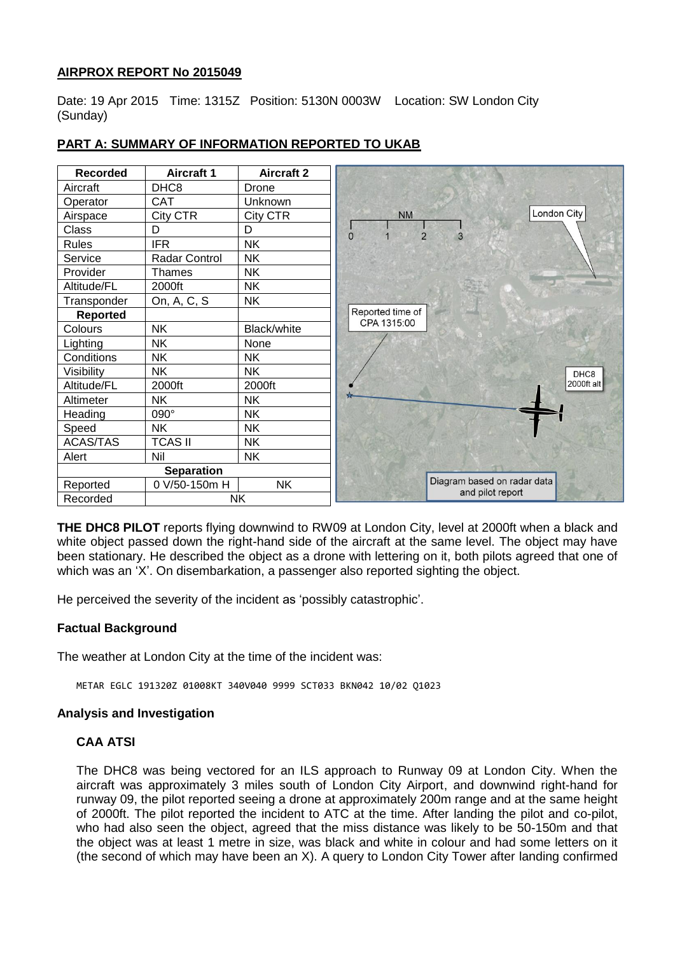## **AIRPROX REPORT No 2015049**

Date: 19 Apr 2015 Time: 1315Z Position: 5130N 0003W Location: SW London City (Sunday)



# **PART A: SUMMARY OF INFORMATION REPORTED TO UKAB**

**THE DHC8 PILOT** reports flying downwind to RW09 at London City, level at 2000ft when a black and white object passed down the right-hand side of the aircraft at the same level. The object may have been stationary. He described the object as a drone with lettering on it, both pilots agreed that one of which was an 'X'. On disembarkation, a passenger also reported sighting the object.

He perceived the severity of the incident as 'possibly catastrophic'.

### **Factual Background**

The weather at London City at the time of the incident was:

METAR EGLC 191320Z 01008KT 340V040 9999 SCT033 BKN042 10/02 Q1023

#### **Analysis and Investigation**

### **CAA ATSI**

The DHC8 was being vectored for an ILS approach to Runway 09 at London City. When the aircraft was approximately 3 miles south of London City Airport, and downwind right-hand for runway 09, the pilot reported seeing a drone at approximately 200m range and at the same height of 2000ft. The pilot reported the incident to ATC at the time. After landing the pilot and co-pilot, who had also seen the object, agreed that the miss distance was likely to be 50-150m and that the object was at least 1 metre in size, was black and white in colour and had some letters on it (the second of which may have been an X). A query to London City Tower after landing confirmed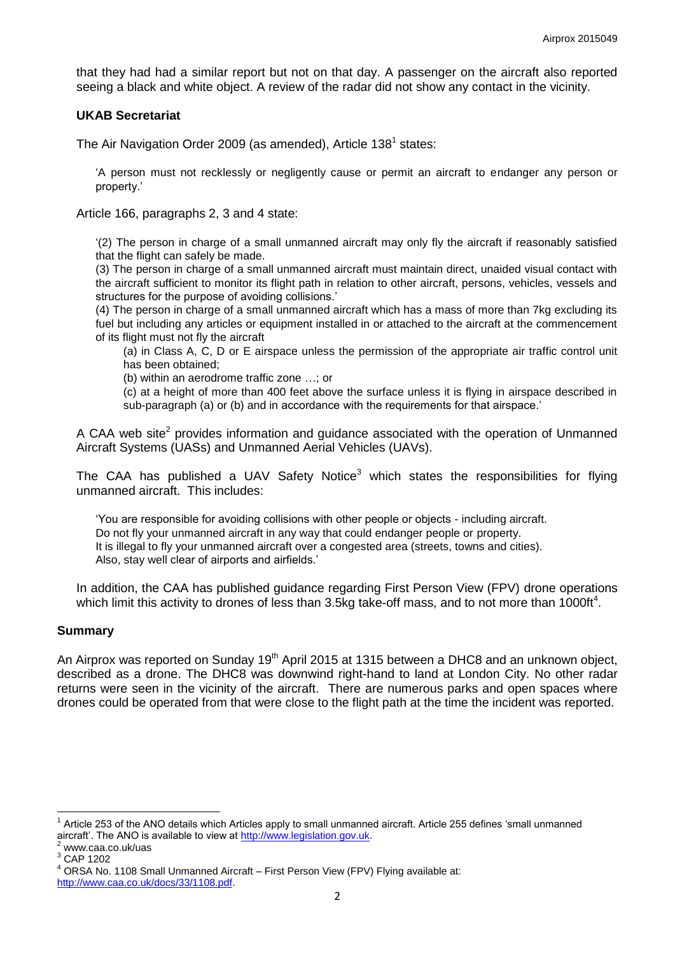that they had had a similar report but not on that day. A passenger on the aircraft also reported seeing a black and white object. A review of the radar did not show any contact in the vicinity.

#### **UKAB Secretariat**

The Air Navigation Order 2009 (as amended), Article 138<sup>1</sup> states:

'A person must not recklessly or negligently cause or permit an aircraft to endanger any person or property.'

Article 166, paragraphs 2, 3 and 4 state:

'(2) The person in charge of a small unmanned aircraft may only fly the aircraft if reasonably satisfied that the flight can safely be made.

(3) The person in charge of a small unmanned aircraft must maintain direct, unaided visual contact with the aircraft sufficient to monitor its flight path in relation to other aircraft, persons, vehicles, vessels and structures for the purpose of avoiding collisions.'

(4) The person in charge of a small unmanned aircraft which has a mass of more than 7kg excluding its fuel but including any articles or equipment installed in or attached to the aircraft at the commencement of its flight must not fly the aircraft

(a) in Class A, C, D or E airspace unless the permission of the appropriate air traffic control unit has been obtained;

(b) within an aerodrome traffic zone …; or

(c) at a height of more than 400 feet above the surface unless it is flying in airspace described in sub-paragraph (a) or (b) and in accordance with the requirements for that airspace.'

A CAA web site<sup>2</sup> provides information and guidance associated with the operation of Unmanned Aircraft Systems (UASs) and Unmanned Aerial Vehicles (UAVs).

The CAA has published a UAV Safety Notice<sup>3</sup> which states the responsibilities for flying unmanned aircraft. This includes:

'You are responsible for avoiding collisions with other people or objects - including aircraft. Do not fly your unmanned aircraft in any way that could endanger people or property. It is illegal to fly your unmanned aircraft over a congested area (streets, towns and cities). Also, stay well clear of airports and airfields.'

In addition, the CAA has published guidance regarding First Person View (FPV) drone operations which limit this activity to drones of less than 3.5kg take-off mass, and to not more than 1000ft<sup>4</sup>.

#### **Summary**

An Airprox was reported on Sunday 19<sup>th</sup> April 2015 at 1315 between a DHC8 and an unknown object, described as a drone. The DHC8 was downwind right-hand to land at London City. No other radar returns were seen in the vicinity of the aircraft. There are numerous parks and open spaces where drones could be operated from that were close to the flight path at the time the incident was reported.

 $\overline{\phantom{a}}$ 

<sup>1</sup> Article 253 of the ANO details which Articles apply to small unmanned aircraft. Article 255 defines 'small unmanned aircraft'. The ANO is available to view at [http://www.legislation.gov.uk.](http://www.legislation.gov.uk/)

<sup>2</sup> www.caa.co.uk/uas

<sup>3</sup> CAP 1202

ORSA No. 1108 Small Unmanned Aircraft – First Person View (FPV) Flying available at:

[http://www.caa.co.uk/docs/33/1108.pdf.](http://www.caa.co.uk/docs/33/1108.pdf)